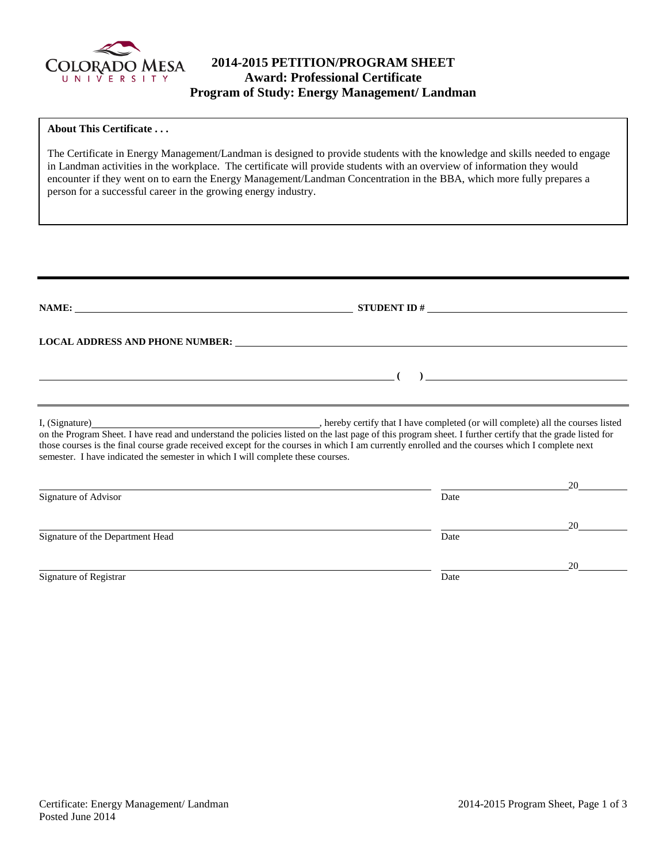

# **2014-2015 PETITION/PROGRAM SHEET Award: Professional Certificate Program of Study: Energy Management/ Landman**

### **About This Certificate . . .**

The Certificate in Energy Management/Landman is designed to provide students with the knowledge and skills needed to engage in Landman activities in the workplace. The certificate will provide students with an overview of information they would encounter if they went on to earn the Energy Management/Landman Concentration in the BBA, which more fully prepares a person for a successful career in the growing energy industry.

| NAME:                                                                                             |                                                                                                                                                                                                                                                                                                            |    |
|---------------------------------------------------------------------------------------------------|------------------------------------------------------------------------------------------------------------------------------------------------------------------------------------------------------------------------------------------------------------------------------------------------------------|----|
|                                                                                                   | LOCAL ADDRESS AND PHONE NUMBER: University of the contract of the contract of the contract of the contract of the contract of the contract of the contract of the contract of the contract of the contract of the contract of                                                                              |    |
|                                                                                                   | $\overline{a}$                                                                                                                                                                                                                                                                                             |    |
|                                                                                                   |                                                                                                                                                                                                                                                                                                            |    |
| I, (Signature)<br>semester. I have indicated the semester in which I will complete these courses. | on the Program Sheet. I have read and understand the policies listed on the last page of this program sheet. I further certify that the grade listed for<br>those courses is the final course grade received except for the courses in which I am currently enrolled and the courses which I complete next |    |
|                                                                                                   |                                                                                                                                                                                                                                                                                                            | 20 |
| Signature of Advisor                                                                              | Date                                                                                                                                                                                                                                                                                                       |    |
|                                                                                                   |                                                                                                                                                                                                                                                                                                            | 20 |
| Signature of the Department Head                                                                  | Date                                                                                                                                                                                                                                                                                                       |    |
|                                                                                                   |                                                                                                                                                                                                                                                                                                            | 20 |
| Signature of Registrar                                                                            | Date                                                                                                                                                                                                                                                                                                       |    |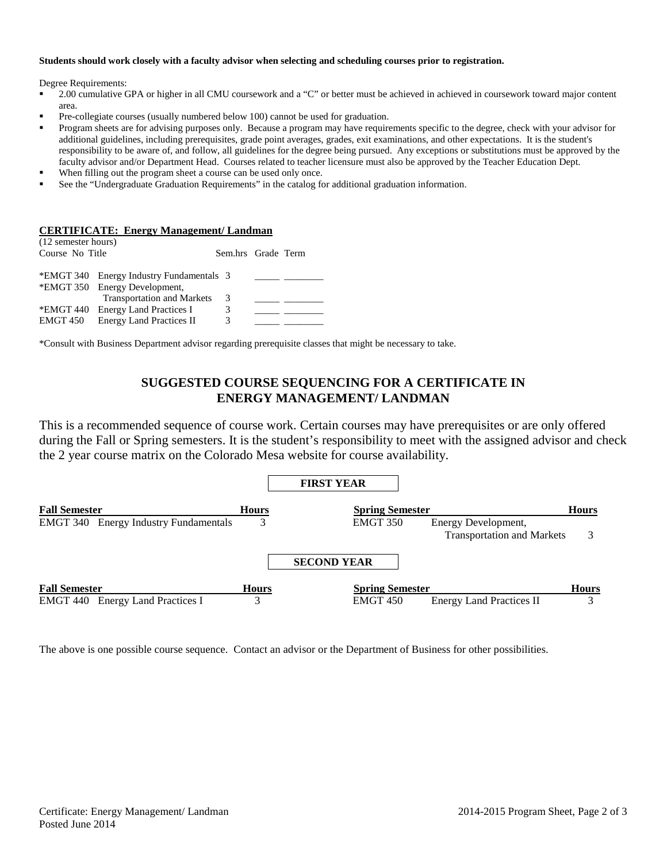#### **Students should work closely with a faculty advisor when selecting and scheduling courses prior to registration.**

Degree Requirements:

- 2.00 cumulative GPA or higher in all CMU coursework and a "C" or better must be achieved in achieved in coursework toward major content area.
- Pre-collegiate courses (usually numbered below 100) cannot be used for graduation.
- Program sheets are for advising purposes only. Because a program may have requirements specific to the degree, check with your advisor for additional guidelines, including prerequisites, grade point averages, grades, exit examinations, and other expectations. It is the student's responsibility to be aware of, and follow, all guidelines for the degree being pursued. Any exceptions or substitutions must be approved by the faculty advisor and/or Department Head. Courses related to teacher licensure must also be approved by the Teacher Education Dept.
- When filling out the program sheet a course can be used only once.
- See the "Undergraduate Graduation Requirements" in the catalog for additional graduation information.

#### **CERTIFICATE: Energy Management/ Landman**

| (12 semester hours) |                                          |                    |  |
|---------------------|------------------------------------------|--------------------|--|
| Course No Title     |                                          | Sem.hrs Grade Term |  |
|                     |                                          |                    |  |
|                     | *EMGT 340 Energy Industry Fundamentals 3 |                    |  |
|                     | *EMGT 350 Energy Development,            |                    |  |
|                     | <b>Transportation and Markets</b>        | 3                  |  |
|                     | *EMGT 440 Energy Land Practices I        | 3                  |  |
| EMGT 450            | <b>Energy Land Practices II</b>          | 3                  |  |
|                     |                                          |                    |  |

\*Consult with Business Department advisor regarding prerequisite classes that might be necessary to take.

## **SUGGESTED COURSE SEQUENCING FOR A CERTIFICATE IN ENERGY MANAGEMENT/ LANDMAN**

This is a recommended sequence of course work. Certain courses may have prerequisites or are only offered during the Fall or Spring semesters. It is the student's responsibility to meet with the assigned advisor and check the 2 year course matrix on the Colorado Mesa website for course availability.



The above is one possible course sequence. Contact an advisor or the Department of Business for other possibilities.